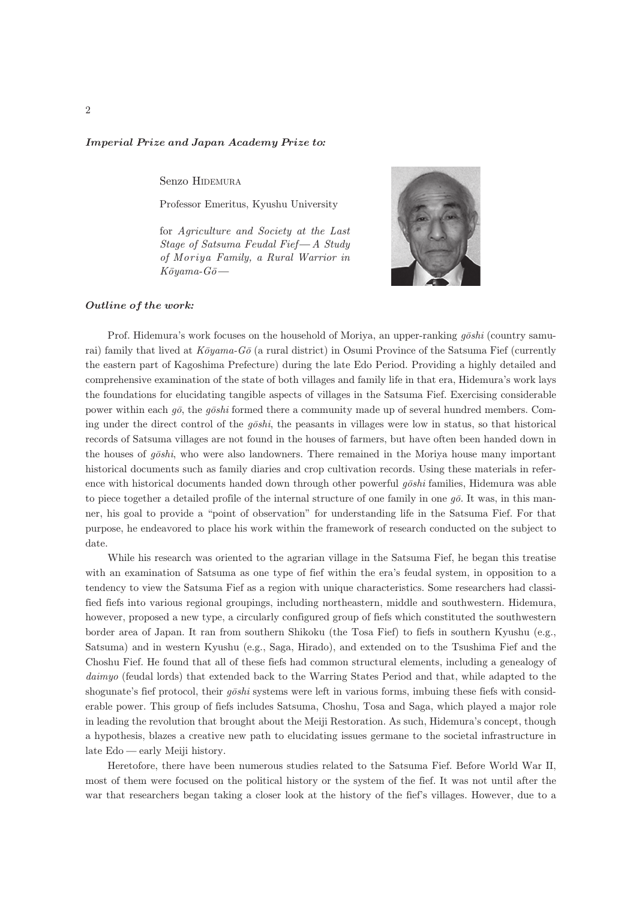## Imperial Prize and Japan Academy Prize to*:*

Senzo HIDEMURA

Professor Emeritus, Kyushu University

for Agriculture and Society at the Last Stage of Satsuma Feudal Fief—A Study of Moriya Family, a Rural Warrior in  $K\bar{o}yama-G\bar{o}$ —



## Outline of the work*:*

Prof. Hidemura's work focuses on the household of Moriya, an upper-ranking  $q\bar{o}shi$  (country samurai) family that lived at  $K\bar{\sigma}yama-G\bar{\sigma}$  (a rural district) in Osumi Province of the Satsuma Fief (currently the eastern part of Kagoshima Prefecture) during the late Edo Period. Providing a highly detailed and comprehensive examination of the state of both villages and family life in that era, Hidemura's work lays the foundations for elucidating tangible aspects of villages in the Satsuma Fief. Exercising considerable power within each gō, the gōshi formed there a community made up of several hundred members. Coming under the direct control of the  $q\bar{o}shi$ , the peasants in villages were low in status, so that historical records of Satsuma villages are not found in the houses of farmers, but have often been handed down in the houses of  $q\bar{o}shi$ , who were also landowners. There remained in the Moriya house many important historical documents such as family diaries and crop cultivation records. Using these materials in reference with historical documents handed down through other powerful  $q\bar{o}shi$  families, Hidemura was able to piece together a detailed profile of the internal structure of one family in one  $g\bar{\sigma}$ . It was, in this manner, his goal to provide a "point of observation" for understanding life in the Satsuma Fief. For that purpose, he endeavored to place his work within the framework of research conducted on the subject to date.

While his research was oriented to the agrarian village in the Satsuma Fief, he began this treatise with an examination of Satsuma as one type of fief within the era's feudal system, in opposition to a tendency to view the Satsuma Fief as a region with unique characteristics. Some researchers had classified fiefs into various regional groupings, including northeastern, middle and southwestern. Hidemura, however, proposed a new type, a circularly configured group of fiefs which constituted the southwestern border area of Japan. It ran from southern Shikoku (the Tosa Fief) to fiefs in southern Kyushu (e.g., Satsuma) and in western Kyushu (e.g., Saga, Hirado), and extended on to the Tsushima Fief and the Choshu Fief. He found that all of these fiefs had common structural elements, including a genealogy of daimyo (feudal lords) that extended back to the Warring States Period and that, while adapted to the shogunate's fief protocol, their  $g\bar{o}shi$  systems were left in various forms, imbuing these fiefs with considerable power. This group of fiefs includes Satsuma, Choshu, Tosa and Saga, which played a major role in leading the revolution that brought about the Meiji Restoration. As such, Hidemura's concept, though a hypothesis, blazes a creative new path to elucidating issues germane to the societal infrastructure in late Edo — early Meiji history.

Heretofore, there have been numerous studies related to the Satsuma Fief. Before World War II, most of them were focused on the political history or the system of the fief. It was not until after the war that researchers began taking a closer look at the history of the fief's villages. However, due to a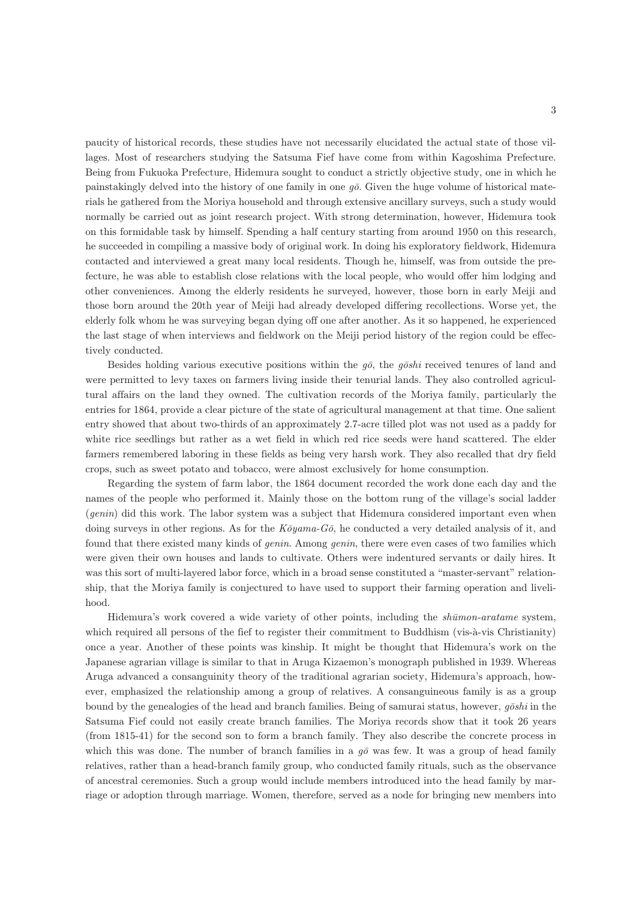paucity of historical records, these studies have not necessarily elucidated the actual state of those villages. Most of researchers studying the Satsuma Fief have come from within Kagoshima Prefecture. Being from Fukuoka Prefecture, Hidemura sought to conduct a strictly objective study, one in which he painstakingly delved into the history of one family in one  $g\bar{o}$ . Given the huge volume of historical materials he gathered from the Moriya household and through extensive ancillary surveys, such a study would normally be carried out as joint research project. With strong determination, however, Hidemura took on this formidable task by himself. Spending a half century starting from around 1950 on this research, he succeeded in compiling a massive body of original work. In doing his exploratory fieldwork, Hidemura contacted and interviewed a great many local residents. Though he, himself, was from outside the prefecture, he was able to establish close relations with the local people, who would offer him lodging and other conveniences. Among the elderly residents he surveyed, however, those born in early Meiji and those born around the 20th year of Meiji had already developed differing recollections. Worse yet, the elderly folk whom he was surveying began dying off one after another. As it so happened, he experienced the last stage of when interviews and fieldwork on the Meiji period history of the region could be effectively conducted.

Besides holding various executive positions within the  $q\bar{o}$ , the  $q\bar{o}shi$  received tenures of land and were permitted to levy taxes on farmers living inside their tenurial lands. They also controlled agricultural affairs on the land they owned. The cultivation records of the Moriya family, particularly the entries for 1864, provide a clear picture of the state of agricultural management at that time. One salient entry showed that about two-thirds of an approximately 2.7-acre tilled plot was not used as a paddy for white rice seedlings but rather as a wet field in which red rice seeds were hand scattered. The elder farmers remembered laboring in these fields as being very harsh work. They also recalled that dry field crops, such as sweet potato and tobacco, were almost exclusively for home consumption.

Regarding the system of farm labor, the 1864 document recorded the work done each day and the names of the people who performed it. Mainly those on the bottom rung of the village's social ladder (genin) did this work. The labor system was a subject that Hidemura considered important even when doing surveys in other regions. As for the  $K\bar{\sigma}yama-G\bar{\sigma}$ , he conducted a very detailed analysis of it, and found that there existed many kinds of *genin*. Among *genin*, there were even cases of two families which were given their own houses and lands to cultivate. Others were indentured servants or daily hires. It was this sort of multi-layered labor force, which in a broad sense constituted a "master-servant" relationship, that the Moriya family is conjectured to have used to support their farming operation and livelihood.

Hidemura's work covered a wide variety of other points, including the *shumon-aratame* system, which required all persons of the fief to register their commitment to Buddhism (vis-à-vis Christianity) once a year. Another of these points was kinship. It might be thought that Hidemura's work on the Japanese agrarian village is similar to that in Aruga Kizaemon's monograph published in 1939. Whereas Aruga advanced a consanguinity theory of the traditional agrarian society, Hidemura's approach, however, emphasized the relationship among a group of relatives. A consanguineous family is as a group bound by the genealogies of the head and branch families. Being of samurai status, however,  $g\bar{o}shi$  in the Satsuma Fief could not easily create branch families. The Moriya records show that it took 26 years (from 1815-41) for the second son to form a branch family. They also describe the concrete process in which this was done. The number of branch families in a  $g\bar{\sigma}$  was few. It was a group of head family relatives, rather than a head-branch family group, who conducted family rituals, such as the observance of ancestral ceremonies. Such a group would include members introduced into the head family by marriage or adoption through marriage. Women, therefore, served as a node for bringing new members into